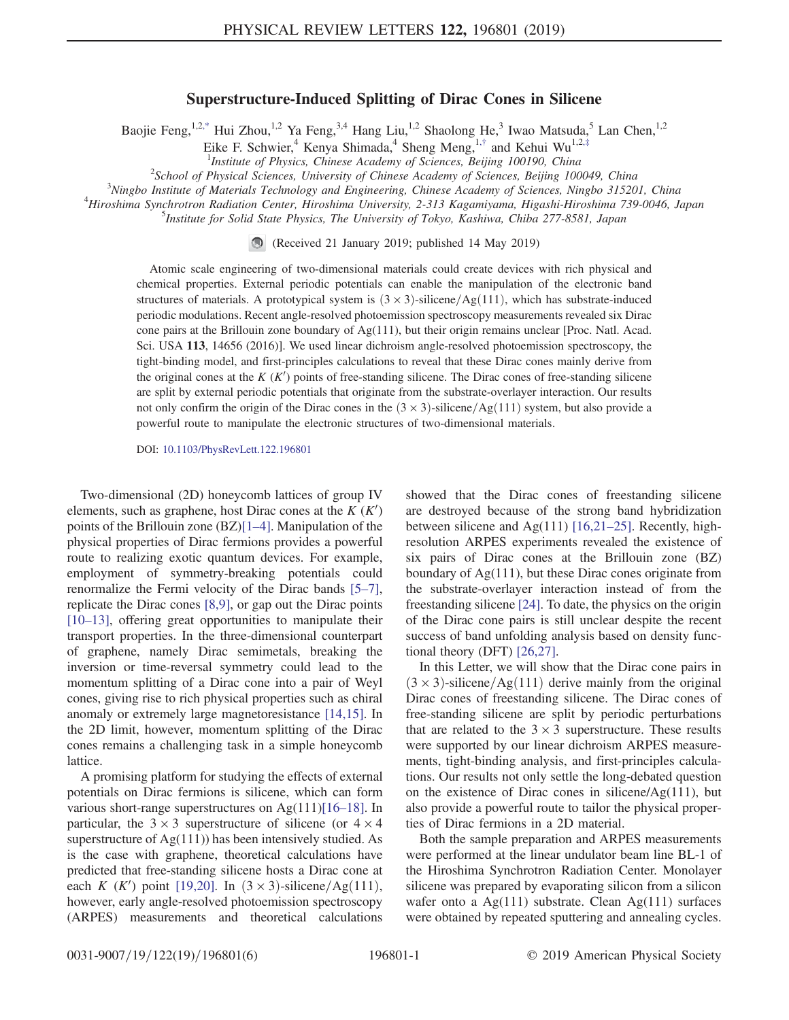## Superstructure-Induced Splitting of Dirac Cones in Silicene

<span id="page-0-0"></span>Baojie Feng,<sup>1,[2,\\*](#page-4-0)</sup> Hui Zhou,<sup>1,2</sup> Ya Feng,<sup>3,4</sup> Hang Liu,<sup>1,2</sup> Shaolong He,<sup>3</sup> Iwao Matsuda,<sup>5</sup> Lan Chen,<sup>1,2</sup>

Eike F. Schwier,<sup>4</sup> Kenya Shimada,<sup>4</sup> Sheng Meng,<sup>1,[†](#page-4-1)</sup> and Kehui Wu<sup>1,2,[‡](#page-4-2)</sup>

<sup>1</sup>Institute of Physics, Chinese Academy of Sciences, Beijing 100190, China<sup>2</sup>School of Physical Sciences, Luissenius of Chinase Academy of Sciences, Peijing 100

 $^{2}$ School of Physical Sciences, University of Chinese Academy of Sciences, Beijing 100049, China

<span id="page-0-1"></span> $3$ Ningbo Institute of Materials Technology and Engineering, Chinese Academy of Sciences, Ningbo 315201, China

<sup>4</sup>Hiroshima Synchrotron Radiation Center, Hiroshima University, 2-313 Kagamiyama, Higashi-Hiroshima 739-0046, Japan

<sup>5</sup>Institute for Solid State Physics, The University of Tokyo, Kashiwa, Chiba 277-8581, Japan

(Received 21 January 2019; published 14 May 2019)

Atomic scale engineering of two-dimensional materials could create devices with rich physical and chemical properties. External periodic potentials can enable the manipulation of the electronic band structures of materials. A prototypical system is  $(3 \times 3)$ -silicene/Ag $(111)$ , which has substrate-induced periodic modulations. Recent angle-resolved photoemission spectroscopy measurements revealed six Dirac cone pairs at the Brillouin zone boundary of  $Ag(111)$ , but their origin remains unclear [Proc. Natl. Acad. Sci. USA 113, 14656 (2016)]. We used linear dichroism angle-resolved photoemission spectroscopy, the tight-binding model, and first-principles calculations to reveal that these Dirac cones mainly derive from the original cones at the  $K(K')$  points of free-standing silicene. The Dirac cones of free-standing silicene are split by external periodic potentials that originate from the substrate-overlayer interaction. Our results not only confirm the origin of the Dirac cones in the  $(3 \times 3)$ -silicene/Ag $(111)$  system, but also provide a powerful route to manipulate the electronic structures of two-dimensional materials.

DOI: [10.1103/PhysRevLett.122.196801](https://doi.org/10.1103/PhysRevLett.122.196801)

Two-dimensional (2D) honeycomb lattices of group IV elements, such as graphene, host Dirac cones at the  $K(K)$ points of the Brillouin zone (BZ)[1–[4\]](#page-4-3). Manipulation of the physical properties of Dirac fermions provides a powerful route to realizing exotic quantum devices. For example, employment of symmetry-breaking potentials could renormalize the Fermi velocity of the Dirac bands [\[5](#page-4-4)–7], replicate the Dirac cones [\[8,9\],](#page-4-5) or gap out the Dirac points [\[10](#page-4-6)–13], offering great opportunities to manipulate their transport properties. In the three-dimensional counterpart of graphene, namely Dirac semimetals, breaking the inversion or time-reversal symmetry could lead to the momentum splitting of a Dirac cone into a pair of Weyl cones, giving rise to rich physical properties such as chiral anomaly or extremely large magnetoresistance [\[14,15\]](#page-4-7). In the 2D limit, however, momentum splitting of the Dirac cones remains a challenging task in a simple honeycomb lattice.

A promising platform for studying the effects of external potentials on Dirac fermions is silicene, which can form various short-range superstructures on Ag(111)[16–[18\].](#page-4-8) In particular, the  $3 \times 3$  superstructure of silicene (or  $4 \times 4$ ) superstructure of  $Ag(111)$ ) has been intensively studied. As is the case with graphene, theoretical calculations have predicted that free-standing silicene hosts a Dirac cone at each *K* (*K'*) point [\[19,20\].](#page-4-9) In  $(3 \times 3)$ -silicene/Ag(111), however, early angle-resolved photoemission spectroscopy (ARPES) measurements and theoretical calculations showed that the Dirac cones of freestanding silicene are destroyed because of the strong band hybridization between silicene and  $Ag(111)$  [\[16,21](#page-4-8)–25]. Recently, highresolution ARPES experiments revealed the existence of six pairs of Dirac cones at the Brillouin zone (BZ) boundary of Ag(111), but these Dirac cones originate from the substrate-overlayer interaction instead of from the freestanding silicene [\[24\]](#page-4-10). To date, the physics on the origin of the Dirac cone pairs is still unclear despite the recent success of band unfolding analysis based on density functional theory (DFT) [\[26,27\]](#page-4-11).

In this Letter, we will show that the Dirac cone pairs in  $(3 \times 3)$ -silicene/Ag $(111)$  derive mainly from the original Dirac cones of freestanding silicene. The Dirac cones of free-standing silicene are split by periodic perturbations that are related to the  $3 \times 3$  superstructure. These results were supported by our linear dichroism ARPES measurements, tight-binding analysis, and first-principles calculations. Our results not only settle the long-debated question on the existence of Dirac cones in silicene/Ag(111), but also provide a powerful route to tailor the physical properties of Dirac fermions in a 2D material.

Both the sample preparation and ARPES measurements were performed at the linear undulator beam line BL-1 of the Hiroshima Synchrotron Radiation Center. Monolayer silicene was prepared by evaporating silicon from a silicon wafer onto a Ag(111) substrate. Clean Ag(111) surfaces were obtained by repeated sputtering and annealing cycles.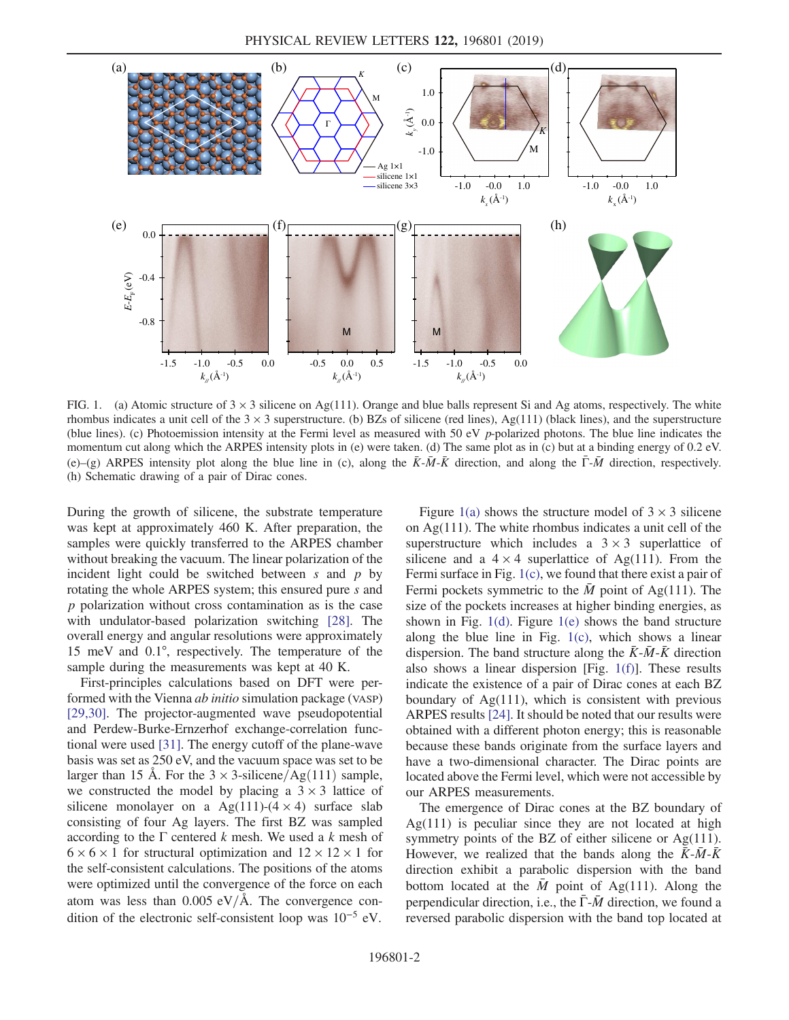<span id="page-1-0"></span>

FIG. 1. (a) Atomic structure of  $3 \times 3$  silicene on Ag(111). Orange and blue balls represent Si and Ag atoms, respectively. The white rhombus indicates a unit cell of the  $3 \times 3$  superstructure. (b) BZs of silicene (red lines), Ag(111) (black lines), and the superstructure (blue lines). (c) Photoemission intensity at the Fermi level as measured with 50 eV p-polarized photons. The blue line indicates the momentum cut along which the ARPES intensity plots in (e) were taken. (d) The same plot as in (c) but at a binding energy of 0.2 eV. (e)–(g) ARPES intensity plot along the blue line in (c), along the  $\bar{K}$ - $\bar{M}$ - $\bar{K}$  direction, and along the  $\bar{\Gamma}$ - $\bar{M}$  direction, respectively. (h) Schematic drawing of a pair of Dirac cones.

During the growth of silicene, the substrate temperature was kept at approximately 460 K. After preparation, the samples were quickly transferred to the ARPES chamber without breaking the vacuum. The linear polarization of the incident light could be switched between  $s$  and  $p$  by rotating the whole ARPES system; this ensured pure s and p polarization without cross contamination as is the case with undulator-based polarization switching [\[28\]](#page-5-0). The overall energy and angular resolutions were approximately 15 meV and 0.1°, respectively. The temperature of the sample during the measurements was kept at 40 K.

First-principles calculations based on DFT were performed with the Vienna *ab initio* simulation package (VASP) [\[29,30\]](#page-5-1). The projector-augmented wave pseudopotential and Perdew-Burke-Ernzerhof exchange-correlation functional were used [\[31\]](#page-5-2). The energy cutoff of the plane-wave basis was set as 250 eV, and the vacuum space was set to be larger than 15 Å. For the  $3 \times 3$ -silicene/Ag(111) sample, we constructed the model by placing a  $3 \times 3$  lattice of silicene monolayer on a Ag(111)-(4  $\times$  4) surface slab consisting of four Ag layers. The first BZ was sampled according to the  $\Gamma$  centered k mesh. We used a k mesh of  $6 \times 6 \times 1$  for structural optimization and  $12 \times 12 \times 1$  for the self-consistent calculations. The positions of the atoms were optimized until the convergence of the force on each atom was less than  $0.005 \text{ eV/A}$ . The convergence condition of the electronic self-consistent loop was 10<sup>−</sup><sup>5</sup> eV.

Figure [1\(a\)](#page-1-0) shows the structure model of  $3 \times 3$  silicene on Ag(111). The white rhombus indicates a unit cell of the superstructure which includes a  $3 \times 3$  superlattice of silicene and a  $4 \times 4$  superlattice of Ag(111). From the Fermi surface in Fig. [1\(c\)](#page-1-0), we found that there exist a pair of Fermi pockets symmetric to the  $\overline{M}$  point of Ag(111). The size of the pockets increases at higher binding energies, as shown in Fig.  $1(d)$ . Figure  $1(e)$  shows the band structure along the blue line in Fig. [1\(c\),](#page-1-0) which shows a linear dispersion. The band structure along the  $\bar{K}$ - $\bar{M}$ - $\bar{K}$  direction also shows a linear dispersion [Fig. [1\(f\)\]](#page-1-0). These results indicate the existence of a pair of Dirac cones at each BZ boundary of  $Ag(111)$ , which is consistent with previous ARPES results [\[24\]](#page-4-10). It should be noted that our results were obtained with a different photon energy; this is reasonable because these bands originate from the surface layers and have a two-dimensional character. The Dirac points are located above the Fermi level, which were not accessible by our ARPES measurements.

The emergence of Dirac cones at the BZ boundary of  $Ag(111)$  is peculiar since they are not located at high symmetry points of the BZ of either silicene or Ag(111). However, we realized that the bands along the  $\bar{K}$ - $\bar{M}$ - $\bar{K}$ direction exhibit a parabolic dispersion with the band bottom located at the  $\overline{M}$  point of Ag(111). Along the perpendicular direction, i.e., the  $\bar{\Gamma}$ - $\bar{M}$  direction, we found a reversed parabolic dispersion with the band top located at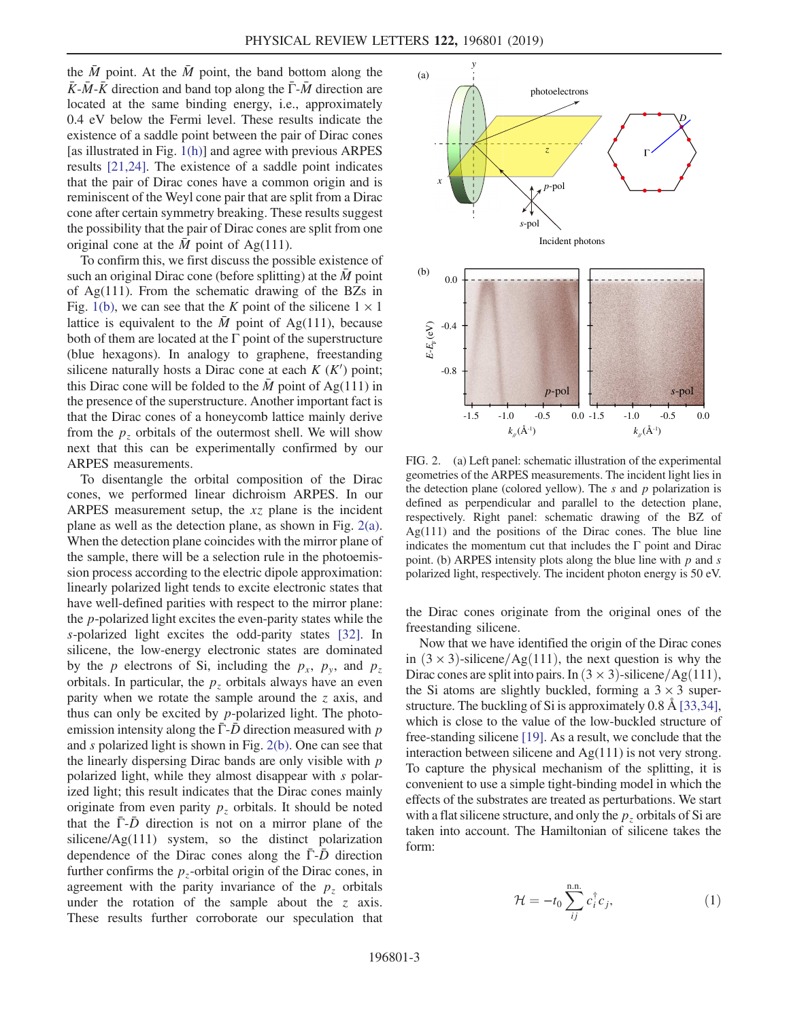the  $\overline{M}$  point. At the  $\overline{M}$  point, the band bottom along the  $\overline{K}$ - $\overline{M}$ - $\overline{K}$  direction and band top along the  $\overline{\Gamma}$ - $\overline{M}$  direction are located at the same binding energy, i.e., approximately 0.4 eV below the Fermi level. These results indicate the existence of a saddle point between the pair of Dirac cones [as illustrated in Fig. [1\(h\)](#page-1-0)] and agree with previous ARPES results [\[21,24\]](#page-4-12). The existence of a saddle point indicates that the pair of Dirac cones have a common origin and is reminiscent of the Weyl cone pair that are split from a Dirac cone after certain symmetry breaking. These results suggest the possibility that the pair of Dirac cones are split from one original cone at the  $\overline{M}$  point of Ag(111).

To confirm this, we first discuss the possible existence of such an original Dirac cone (before splitting) at the  $\overline{M}$  point of Ag(111). From the schematic drawing of the BZs in Fig. [1\(b\),](#page-1-0) we can see that the K point of the silicene  $1 \times 1$ lattice is equivalent to the  $\overline{M}$  point of Ag(111), because both of them are located at the  $\Gamma$  point of the superstructure (blue hexagons). In analogy to graphene, freestanding silicene naturally hosts a Dirac cone at each  $K(K')$  point; this Dirac cone will be folded to the  $\overline{M}$  point of Ag(111) in the presence of the superstructure. Another important fact is that the Dirac cones of a honeycomb lattice mainly derive from the  $p<sub>z</sub>$  orbitals of the outermost shell. We will show next that this can be experimentally confirmed by our ARPES measurements.

To disentangle the orbital composition of the Dirac cones, we performed linear dichroism ARPES. In our ARPES measurement setup, the xz plane is the incident plane as well as the detection plane, as shown in Fig. [2\(a\)](#page-2-0). When the detection plane coincides with the mirror plane of the sample, there will be a selection rule in the photoemission process according to the electric dipole approximation: linearly polarized light tends to excite electronic states that have well-defined parities with respect to the mirror plane: the p-polarized light excites the even-parity states while the s-polarized light excites the odd-parity states [\[32\].](#page-5-3) In silicene, the low-energy electronic states are dominated by the p electrons of Si, including the  $p_x$ ,  $p_y$ , and  $p_z$ orbitals. In particular, the  $p<sub>z</sub>$  orbitals always have an even parity when we rotate the sample around the  $z$  axis, and thus can only be excited by  $p$ -polarized light. The photoemission intensity along the  $\bar{\Gamma}$ - $\bar{D}$  direction measured with p and s polarized light is shown in Fig. [2\(b\)](#page-2-0). One can see that the linearly dispersing Dirac bands are only visible with p polarized light, while they almost disappear with s polarized light; this result indicates that the Dirac cones mainly originate from even parity  $p<sub>z</sub>$  orbitals. It should be noted that the  $\overline{\Gamma}$ - $\overline{D}$  direction is not on a mirror plane of the silicene/Ag(111) system, so the distinct polarization dependence of the Dirac cones along the  $\overline{\Gamma}$ - $\overline{D}$  direction further confirms the  $p<sub>z</sub>$ -orbital origin of the Dirac cones, in agreement with the parity invariance of the  $p<sub>z</sub>$  orbitals under the rotation of the sample about the  $z$  axis. These results further corroborate our speculation that

<span id="page-2-0"></span>

FIG. 2. (a) Left panel: schematic illustration of the experimental geometries of the ARPES measurements. The incident light lies in the detection plane (colored yellow). The  $s$  and  $p$  polarization is defined as perpendicular and parallel to the detection plane, respectively. Right panel: schematic drawing of the BZ of Ag(111) and the positions of the Dirac cones. The blue line indicates the momentum cut that includes the  $\Gamma$  point and Dirac point. (b) ARPES intensity plots along the blue line with  $p$  and  $s$ polarized light, respectively. The incident photon energy is 50 eV.

the Dirac cones originate from the original ones of the freestanding silicene.

Now that we have identified the origin of the Dirac cones in  $(3 \times 3)$ -silicene/Ag $(111)$ , the next question is why the Dirac cones are split into pairs. In  $(3 \times 3)$ -silicene/Ag $(111)$ , the Si atoms are slightly buckled, forming a  $3 \times 3$  superstructure. The buckling of Si is approximately 0.8 Å [\[33,34\]](#page-5-4), which is close to the value of the low-buckled structure of free-standing silicene [\[19\]](#page-4-9). As a result, we conclude that the interaction between silicene and  $Ag(111)$  is not very strong. To capture the physical mechanism of the splitting, it is convenient to use a simple tight-binding model in which the effects of the substrates are treated as perturbations. We start with a flat silicene structure, and only the  $p<sub>z</sub>$  orbitals of Si are taken into account. The Hamiltonian of silicene takes the form:

$$
\mathcal{H} = -t_0 \sum_{ij}^{\text{n.n.}} c_i^{\dagger} c_j,
$$
\n(1)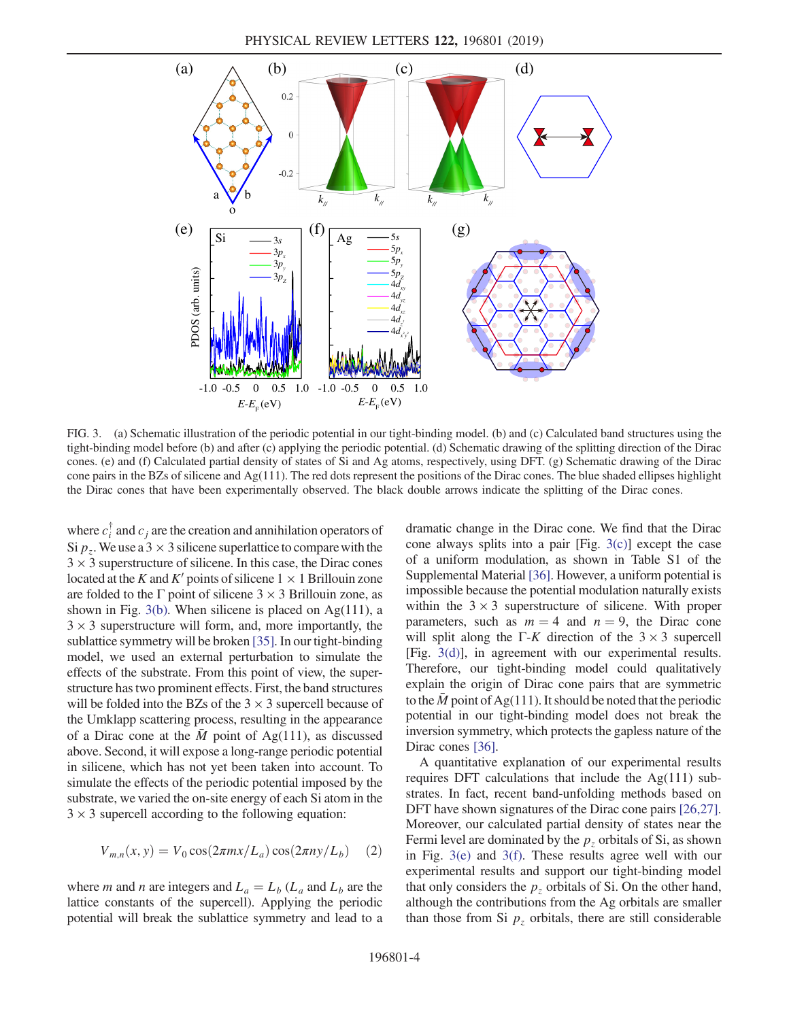<span id="page-3-0"></span>

FIG. 3. (a) Schematic illustration of the periodic potential in our tight-binding model. (b) and (c) Calculated band structures using the tight-binding model before (b) and after (c) applying the periodic potential. (d) Schematic drawing of the splitting direction of the Dirac cones. (e) and (f) Calculated partial density of states of Si and Ag atoms, respectively, using DFT. (g) Schematic drawing of the Dirac cone pairs in the BZs of silicene and Ag(111). The red dots represent the positions of the Dirac cones. The blue shaded ellipses highlight the Dirac cones that have been experimentally observed. The black double arrows indicate the splitting of the Dirac cones.

where  $c_i^{\dagger}$  and  $c_j$  are the creation and annihilation operators of Si  $p<sub>z</sub>$ . We use a 3  $\times$  3 silicene superlattice to compare with the  $3 \times 3$  superstructure of silicene. In this case, the Dirac cones located at the K and K' points of silicene  $1 \times 1$  Brillouin zone are folded to the  $\Gamma$  point of silicene 3  $\times$  3 Brillouin zone, as shown in Fig.  $3(b)$ . When silicene is placed on Ag(111), a  $3 \times 3$  superstructure will form, and, more importantly, the sublattice symmetry will be broken [\[35\].](#page-5-5) In our tight-binding model, we used an external perturbation to simulate the effects of the substrate. From this point of view, the superstructure has two prominent effects. First, the band structures will be folded into the BZs of the  $3 \times 3$  supercell because of the Umklapp scattering process, resulting in the appearance of a Dirac cone at the  $\overline{M}$  point of Ag(111), as discussed above. Second, it will expose a long-range periodic potential in silicene, which has not yet been taken into account. To simulate the effects of the periodic potential imposed by the substrate, we varied the on-site energy of each Si atom in the  $3 \times 3$  supercell according to the following equation:

$$
V_{m,n}(x, y) = V_0 \cos(2\pi m x/L_a) \cos(2\pi n y/L_b)
$$
 (2)

where *m* and *n* are integers and  $L_a = L_b$  ( $L_a$  and  $L_b$  are the lattice constants of the supercell). Applying the periodic potential will break the sublattice symmetry and lead to a dramatic change in the Dirac cone. We find that the Dirac cone always splits into a pair [Fig. [3\(c\)\]](#page-3-0) except the case of a uniform modulation, as shown in Table S1 of the Supplemental Material [\[36\]](#page-5-6). However, a uniform potential is impossible because the potential modulation naturally exists within the  $3 \times 3$  superstructure of silicene. With proper parameters, such as  $m = 4$  and  $n = 9$ , the Dirac cone will split along the Γ-K direction of the  $3 \times 3$  supercell [Fig. [3\(d\)\]](#page-3-0), in agreement with our experimental results. Therefore, our tight-binding model could qualitatively explain the origin of Dirac cone pairs that are symmetric to the  $\overline{M}$  point of Ag(111). It should be noted that the periodic potential in our tight-binding model does not break the inversion symmetry, which protects the gapless nature of the Dirac cones [\[36\]](#page-5-6).

A quantitative explanation of our experimental results requires DFT calculations that include the  $Ag(111)$  substrates. In fact, recent band-unfolding methods based on DFT have shown signatures of the Dirac cone pairs [\[26,27\]](#page-4-11). Moreover, our calculated partial density of states near the Fermi level are dominated by the  $p<sub>z</sub>$  orbitals of Si, as shown in Fig. [3\(e\)](#page-3-0) and [3\(f\)](#page-3-0). These results agree well with our experimental results and support our tight-binding model that only considers the  $p<sub>z</sub>$  orbitals of Si. On the other hand, although the contributions from the Ag orbitals are smaller than those from Si  $p<sub>z</sub>$  orbitals, there are still considerable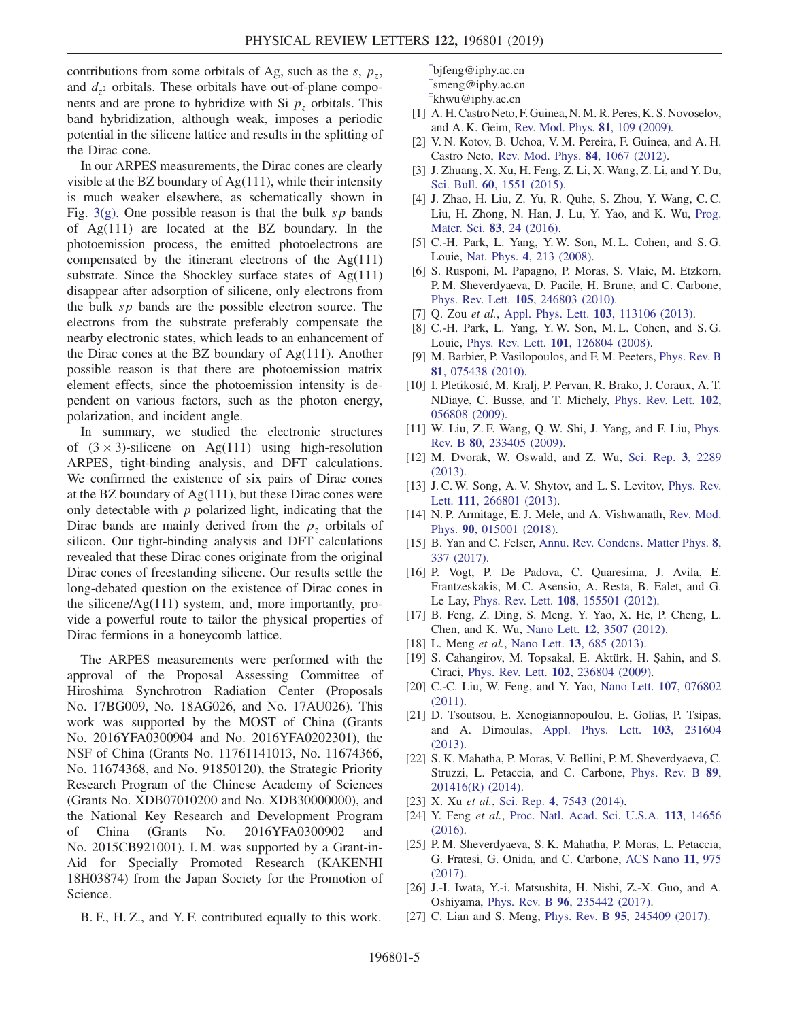contributions from some orbitals of Ag, such as the  $s$ ,  $p_z$ , and  $d_{z^2}$  orbitals. These orbitals have out-of-plane components and are prone to hybridize with Si  $p<sub>z</sub>$  orbitals. This band hybridization, although weak, imposes a periodic potential in the silicene lattice and results in the splitting of the Dirac cone.

In our ARPES measurements, the Dirac cones are clearly visible at the BZ boundary of  $Ag(111)$ , while their intensity is much weaker elsewhere, as schematically shown in Fig. [3\(g\).](#page-3-0) One possible reason is that the bulk  $sp$  bands of Ag(111) are located at the BZ boundary. In the photoemission process, the emitted photoelectrons are compensated by the itinerant electrons of the  $Ag(111)$ substrate. Since the Shockley surface states of Ag(111) disappear after adsorption of silicene, only electrons from the bulk sp bands are the possible electron source. The electrons from the substrate preferably compensate the nearby electronic states, which leads to an enhancement of the Dirac cones at the BZ boundary of Ag(111). Another possible reason is that there are photoemission matrix element effects, since the photoemission intensity is dependent on various factors, such as the photon energy, polarization, and incident angle.

In summary, we studied the electronic structures of  $(3 \times 3)$ -silicene on Ag(111) using high-resolution ARPES, tight-binding analysis, and DFT calculations. We confirmed the existence of six pairs of Dirac cones at the BZ boundary of Ag(111), but these Dirac cones were only detectable with  $p$  polarized light, indicating that the Dirac bands are mainly derived from the  $p<sub>z</sub>$  orbitals of silicon. Our tight-binding analysis and DFT calculations revealed that these Dirac cones originate from the original Dirac cones of freestanding silicene. Our results settle the long-debated question on the existence of Dirac cones in the silicene/Ag(111) system, and, more importantly, provide a powerful route to tailor the physical properties of Dirac fermions in a honeycomb lattice.

The ARPES measurements were performed with the approval of the Proposal Assessing Committee of Hiroshima Synchrotron Radiation Center (Proposals No. 17BG009, No. 18AG026, and No. 17AU026). This work was supported by the MOST of China (Grants No. 2016YFA0300904 and No. 2016YFA0202301), the NSF of China (Grants No. 11761141013, No. 11674366, No. 11674368, and No. 91850120), the Strategic Priority Research Program of the Chinese Academy of Sciences (Grants No. XDB07010200 and No. XDB30000000), and the National Key Research and Development Program of China (Grants No. 2016YFA0300902 and No. 2015CB921001). I. M. was supported by a Grant-in-Aid for Specially Promoted Research (KAKENHI 18H03874) from the Japan Society for the Promotion of Science.

B. F., H. Z., and Y. F. contributed equally to this work.

<span id="page-4-2"></span><span id="page-4-1"></span><span id="page-4-0"></span>[\\*](#page-0-0) bjfeng@iphy.ac.cn [†](#page-0-1) smeng@iphy.ac.cn [‡](#page-0-1) khwu@iphy.ac.cn

- <span id="page-4-3"></span>[1] A. H.Castro Neto, F. Guinea, N. M. R. Peres, K. S. Novoselov, and A. K. Geim, [Rev. Mod. Phys.](https://doi.org/10.1103/RevModPhys.81.109) 81, 109 (2009).
- [2] V. N. Kotov, B. Uchoa, V. M. Pereira, F. Guinea, and A. H. Castro Neto, [Rev. Mod. Phys.](https://doi.org/10.1103/RevModPhys.84.1067) 84, 1067 (2012).
- [3] J. Zhuang, X. Xu, H. Feng, Z. Li, X. Wang, Z. Li, and Y. Du, Sci. Bull. 60[, 1551 \(2015\)](https://doi.org/10.1007/s11434-015-0880-2).
- [4] J. Zhao, H. Liu, Z. Yu, R. Quhe, S. Zhou, Y. Wang, C. C. Liu, H. Zhong, N. Han, J. Lu, Y. Yao, and K. Wu, [Prog.](https://doi.org/10.1016/j.pmatsci.2016.04.001) Mater. Sci. 83[, 24 \(2016\)](https://doi.org/10.1016/j.pmatsci.2016.04.001).
- <span id="page-4-4"></span>[5] C.-H. Park, L. Yang, Y. W. Son, M. L. Cohen, and S. G. Louie, Nat. Phys. 4[, 213 \(2008\)](https://doi.org/10.1038/nphys890).
- [6] S. Rusponi, M. Papagno, P. Moras, S. Vlaic, M. Etzkorn, P. M. Sheverdyaeva, D. Pacile, H. Brune, and C. Carbone, Phys. Rev. Lett. 105[, 246803 \(2010\).](https://doi.org/10.1103/PhysRevLett.105.246803)
- <span id="page-4-5"></span>[7] Q. Zou et al., [Appl. Phys. Lett.](https://doi.org/10.1063/1.4821178) 103, 113106 (2013).
- [8] C.-H. Park, L. Yang, Y. W. Son, M. L. Cohen, and S. G. Louie, Phys. Rev. Lett. 101[, 126804 \(2008\).](https://doi.org/10.1103/PhysRevLett.101.126804)
- [9] M. Barbier, P. Vasilopoulos, and F. M. Peeters, [Phys. Rev. B](https://doi.org/10.1103/PhysRevB.81.075438) 81[, 075438 \(2010\).](https://doi.org/10.1103/PhysRevB.81.075438)
- <span id="page-4-6"></span>[10] I. Pletikosić, M. Kralj, P. Pervan, R. Brako, J. Coraux, A. T. NDiaye, C. Busse, and T. Michely, [Phys. Rev. Lett.](https://doi.org/10.1103/PhysRevLett.102.056808) 102, [056808 \(2009\).](https://doi.org/10.1103/PhysRevLett.102.056808)
- [11] W. Liu, Z. F. Wang, Q. W. Shi, J. Yang, and F. Liu, [Phys.](https://doi.org/10.1103/PhysRevB.80.233405) Rev. B 80[, 233405 \(2009\).](https://doi.org/10.1103/PhysRevB.80.233405)
- [12] M. Dvorak, W. Oswald, and Z. Wu, [Sci. Rep.](https://doi.org/10.1038/srep02289) 3, 2289 [\(2013\).](https://doi.org/10.1038/srep02289)
- [13] J. C. W. Song, A. V. Shytov, and L. S. Levitov, [Phys. Rev.](https://doi.org/10.1103/PhysRevLett.111.266801) Lett. 111[, 266801 \(2013\)](https://doi.org/10.1103/PhysRevLett.111.266801).
- <span id="page-4-7"></span>[14] N. P. Armitage, E. J. Mele, and A. Vishwanath, [Rev. Mod.](https://doi.org/10.1103/RevModPhys.90.015001) Phys. 90[, 015001 \(2018\)](https://doi.org/10.1103/RevModPhys.90.015001).
- [15] B. Yan and C. Felser, [Annu. Rev. Condens. Matter Phys.](https://doi.org/10.1146/annurev-conmatphys-031016-025458) 8, [337 \(2017\)](https://doi.org/10.1146/annurev-conmatphys-031016-025458).
- <span id="page-4-8"></span>[16] P. Vogt, P. De Padova, C. Quaresima, J. Avila, E. Frantzeskakis, M. C. Asensio, A. Resta, B. Ealet, and G. Le Lay, Phys. Rev. Lett. 108[, 155501 \(2012\).](https://doi.org/10.1103/PhysRevLett.108.155501)
- [17] B. Feng, Z. Ding, S. Meng, Y. Yao, X. He, P. Cheng, L. Chen, and K. Wu, Nano Lett. 12[, 3507 \(2012\)](https://doi.org/10.1021/nl301047g).
- <span id="page-4-9"></span>[18] L. Meng et al., Nano Lett. **13**[, 685 \(2013\).](https://doi.org/10.1021/nl304347w)
- [19] S. Cahangirov, M. Topsakal, E. Aktürk, H. Şahin, and S. Ciraci, Phys. Rev. Lett. 102[, 236804 \(2009\)](https://doi.org/10.1103/PhysRevLett.102.236804).
- [20] C.-C. Liu, W. Feng, and Y. Yao, [Nano Lett.](https://doi.org/10.1103/PhysRevLett.107.076802) 107, 076802 [\(2011\).](https://doi.org/10.1103/PhysRevLett.107.076802)
- <span id="page-4-12"></span>[21] D. Tsoutsou, E. Xenogiannopoulou, E. Golias, P. Tsipas, and A. Dimoulas, [Appl. Phys. Lett.](https://doi.org/10.1063/1.4841335) 103, 231604 [\(2013\).](https://doi.org/10.1063/1.4841335)
- [22] S. K. Mahatha, P. Moras, V. Bellini, P. M. Sheverdyaeva, C. Struzzi, L. Petaccia, and C. Carbone, [Phys. Rev. B](https://doi.org/10.1103/PhysRevB.89.201416) 89, [201416\(R\) \(2014\)](https://doi.org/10.1103/PhysRevB.89.201416).
- <span id="page-4-10"></span>[23] X. Xu et al., Sci. Rep. 4[, 7543 \(2014\)](https://doi.org/10.1038/srep07543).
- [24] Y. Feng et al., [Proc. Natl. Acad. Sci. U.S.A.](https://doi.org/10.1073/pnas.1613434114) 113, 14656 [\(2016\).](https://doi.org/10.1073/pnas.1613434114)
- [25] P. M. Sheverdyaeva, S. K. Mahatha, P. Moras, L. Petaccia, G. Fratesi, G. Onida, and C. Carbone, [ACS Nano](https://doi.org/10.1021/acsnano.6b07593) 11, 975 [\(2017\).](https://doi.org/10.1021/acsnano.6b07593)
- <span id="page-4-11"></span>[26] J.-I. Iwata, Y.-i. Matsushita, H. Nishi, Z.-X. Guo, and A. Oshiyama, Phys. Rev. B 96[, 235442 \(2017\).](https://doi.org/10.1103/PhysRevB.96.235442)
- [27] C. Lian and S. Meng, Phys. Rev. B 95[, 245409 \(2017\)](https://doi.org/10.1103/PhysRevB.95.245409).